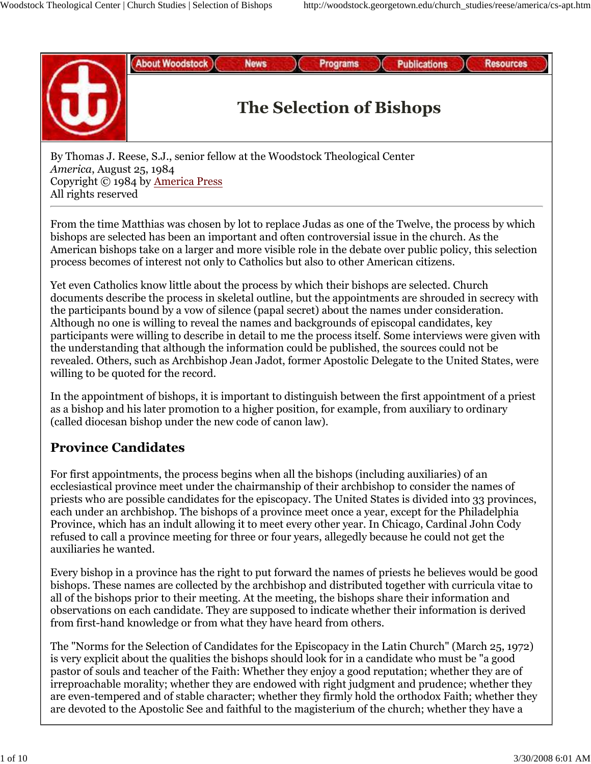**About Woodstock** 

**Resources** 

**Publications** 



# **The Selection of Bishops**

**Programs** 

By Thomas J. Reese, S.J., senior fellow at the Woodstock Theological Center *America*, August 25, 1984 Copyright © 1984 by America Press All rights reserved

**News** 

From the time Matthias was chosen by lot to replace Judas as one of the Twelve, the process by which bishops are selected has been an important and often controversial issue in the church. As the American bishops take on a larger and more visible role in the debate over public policy, this selection process becomes of interest not only to Catholics but also to other American citizens.

Yet even Catholics know little about the process by which their bishops are selected. Church documents describe the process in skeletal outline, but the appointments are shrouded in secrecy with the participants bound by a vow of silence (papal secret) about the names under consideration. Although no one is willing to reveal the names and backgrounds of episcopal candidates, key participants were willing to describe in detail to me the process itself. Some interviews were given with the understanding that although the information could be published, the sources could not be revealed. Others, such as Archbishop Jean Jadot, former Apostolic Delegate to the United States, were willing to be quoted for the record.

In the appointment of bishops, it is important to distinguish between the first appointment of a priest as a bishop and his later promotion to a higher position, for example, from auxiliary to ordinary (called diocesan bishop under the new code of canon law).

# **Province Candidates**

For first appointments, the process begins when all the bishops (including auxiliaries) of an ecclesiastical province meet under the chairmanship of their archbishop to consider the names of priests who are possible candidates for the episcopacy. The United States is divided into 33 provinces, each under an archbishop. The bishops of a province meet once a year, except for the Philadelphia Province, which has an indult allowing it to meet every other year. In Chicago, Cardinal John Cody refused to call a province meeting for three or four years, allegedly because he could not get the auxiliaries he wanted.

Every bishop in a province has the right to put forward the names of priests he believes would be good bishops. These names are collected by the archbishop and distributed together with curricula vitae to all of the bishops prior to their meeting. At the meeting, the bishops share their information and observations on each candidate. They are supposed to indicate whether their information is derived from first-hand knowledge or from what they have heard from others.

The "Norms for the Selection of Candidates for the Episcopacy in the Latin Church" (March 25, 1972) is very explicit about the qualities the bishops should look for in a candidate who must be "a good pastor of souls and teacher of the Faith: Whether they enjoy a good reputation; whether they are of irreproachable morality; whether they are endowed with right judgment and prudence; whether they are even-tempered and of stable character; whether they firmly hold the orthodox Faith; whether they are devoted to the Apostolic See and faithful to the magisterium of the church; whether they have a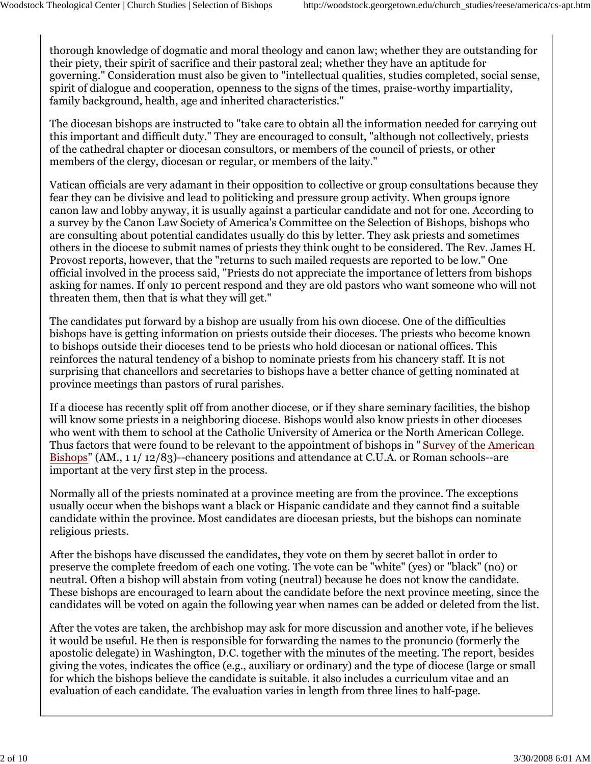thorough knowledge of dogmatic and moral theology and canon law; whether they are outstanding for their piety, their spirit of sacrifice and their pastoral zeal; whether they have an aptitude for governing." Consideration must also be given to "intellectual qualities, studies completed, social sense, spirit of dialogue and cooperation, openness to the signs of the times, praise-worthy impartiality, family background, health, age and inherited characteristics."

The diocesan bishops are instructed to "take care to obtain all the information needed for carrying out this important and difficult duty." They are encouraged to consult, "although not collectively, priests of the cathedral chapter or diocesan consultors, or members of the council of priests, or other members of the clergy, diocesan or regular, or members of the laity."

Vatican officials are very adamant in their opposition to collective or group consultations because they fear they can be divisive and lead to politicking and pressure group activity. When groups ignore canon law and lobby anyway, it is usually against a particular candidate and not for one. According to a survey by the Canon Law Society of America's Committee on the Selection of Bishops, bishops who are consulting about potential candidates usually do this by letter. They ask priests and sometimes others in the diocese to submit names of priests they think ought to be considered. The Rev. James H. Provost reports, however, that the "returns to such mailed requests are reported to be low." One official involved in the process said, "Priests do not appreciate the importance of letters from bishops asking for names. If only 10 percent respond and they are old pastors who want someone who will not threaten them, then that is what they will get."

The candidates put forward by a bishop are usually from his own diocese. One of the difficulties bishops have is getting information on priests outside their dioceses. The priests who become known to bishops outside their dioceses tend to be priests who hold diocesan or national offices. This reinforces the natural tendency of a bishop to nominate priests from his chancery staff. It is not surprising that chancellors and secretaries to bishops have a better chance of getting nominated at province meetings than pastors of rural parishes.

If a diocese has recently split off from another diocese, or if they share seminary facilities, the bishop will know some priests in a neighboring diocese. Bishops would also know priests in other dioceses who went with them to school at the Catholic University of America or the North American College. Thus factors that were found to be relevant to the appointment of bishops in " Survey of the American Bishops" (AM., 1 1/ 12/83)--chancery positions and attendance at C.U.A. or Roman schools--are important at the very first step in the process.

Normally all of the priests nominated at a province meeting are from the province. The exceptions usually occur when the bishops want a black or Hispanic candidate and they cannot find a suitable candidate within the province. Most candidates are diocesan priests, but the bishops can nominate religious priests.

After the bishops have discussed the candidates, they vote on them by secret ballot in order to preserve the complete freedom of each one voting. The vote can be "white" (yes) or "black" (no) or neutral. Often a bishop will abstain from voting (neutral) because he does not know the candidate. These bishops are encouraged to learn about the candidate before the next province meeting, since the candidates will be voted on again the following year when names can be added or deleted from the list.

After the votes are taken, the archbishop may ask for more discussion and another vote, if he believes it would be useful. He then is responsible for forwarding the names to the pronuncio (formerly the apostolic delegate) in Washington, D.C. together with the minutes of the meeting. The report, besides giving the votes, indicates the office (e.g., auxiliary or ordinary) and the type of diocese (large or small for which the bishops believe the candidate is suitable. it also includes a curriculum vitae and an evaluation of each candidate. The evaluation varies in length from three lines to half-page.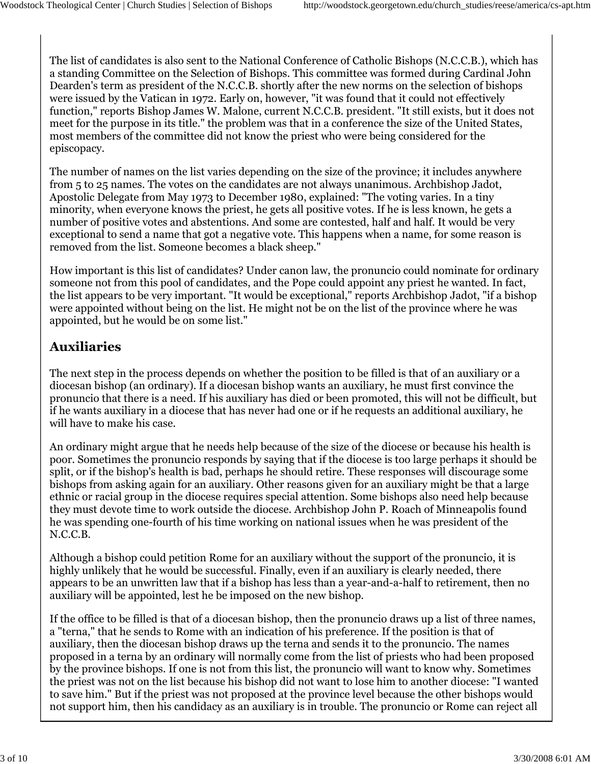The list of candidates is also sent to the National Conference of Catholic Bishops (N.C.C.B.), which has a standing Committee on the Selection of Bishops. This committee was formed during Cardinal John Dearden's term as president of the N.C.C.B. shortly after the new norms on the selection of bishops were issued by the Vatican in 1972. Early on, however, "it was found that it could not effectively function," reports Bishop James W. Malone, current N.C.C.B. president. "It still exists, but it does not meet for the purpose in its title." the problem was that in a conference the size of the United States, most members of the committee did not know the priest who were being considered for the episcopacy.

The number of names on the list varies depending on the size of the province; it includes anywhere from 5 to 25 names. The votes on the candidates are not always unanimous. Archbishop Jadot, Apostolic Delegate from May 1973 to December 1980, explained: "The voting varies. In a tiny minority, when everyone knows the priest, he gets all positive votes. If he is less known, he gets a number of positive votes and abstentions. And some are contested, half and half. It would be very exceptional to send a name that got a negative vote. This happens when a name, for some reason is removed from the list. Someone becomes a black sheep."

How important is this list of candidates? Under canon law, the pronuncio could nominate for ordinary someone not from this pool of candidates, and the Pope could appoint any priest he wanted. In fact, the list appears to be very important. "It would be exceptional," reports Archbishop Jadot, "if a bishop were appointed without being on the list. He might not be on the list of the province where he was appointed, but he would be on some list."

#### **Auxiliaries**

The next step in the process depends on whether the position to be filled is that of an auxiliary or a diocesan bishop (an ordinary). If a diocesan bishop wants an auxiliary, he must first convince the pronuncio that there is a need. If his auxiliary has died or been promoted, this will not be difficult, but if he wants auxiliary in a diocese that has never had one or if he requests an additional auxiliary, he will have to make his case.

An ordinary might argue that he needs help because of the size of the diocese or because his health is poor. Sometimes the pronuncio responds by saying that if the diocese is too large perhaps it should be split, or if the bishop's health is bad, perhaps he should retire. These responses will discourage some bishops from asking again for an auxiliary. Other reasons given for an auxiliary might be that a large ethnic or racial group in the diocese requires special attention. Some bishops also need help because they must devote time to work outside the diocese. Archbishop John P. Roach of Minneapolis found he was spending one-fourth of his time working on national issues when he was president of the N.C.C.B.

Although a bishop could petition Rome for an auxiliary without the support of the pronuncio, it is highly unlikely that he would be successful. Finally, even if an auxiliary is clearly needed, there appears to be an unwritten law that if a bishop has less than a year-and-a-half to retirement, then no auxiliary will be appointed, lest he be imposed on the new bishop.

If the office to be filled is that of a diocesan bishop, then the pronuncio draws up a list of three names, a "terna," that he sends to Rome with an indication of his preference. If the position is that of auxiliary, then the diocesan bishop draws up the terna and sends it to the pronuncio. The names proposed in a terna by an ordinary will normally come from the list of priests who had been proposed by the province bishops. If one is not from this list, the pronuncio will want to know why. Sometimes the priest was not on the list because his bishop did not want to lose him to another diocese: "I wanted to save him." But if the priest was not proposed at the province level because the other bishops would not support him, then his candidacy as an auxiliary is in trouble. The pronuncio or Rome can reject all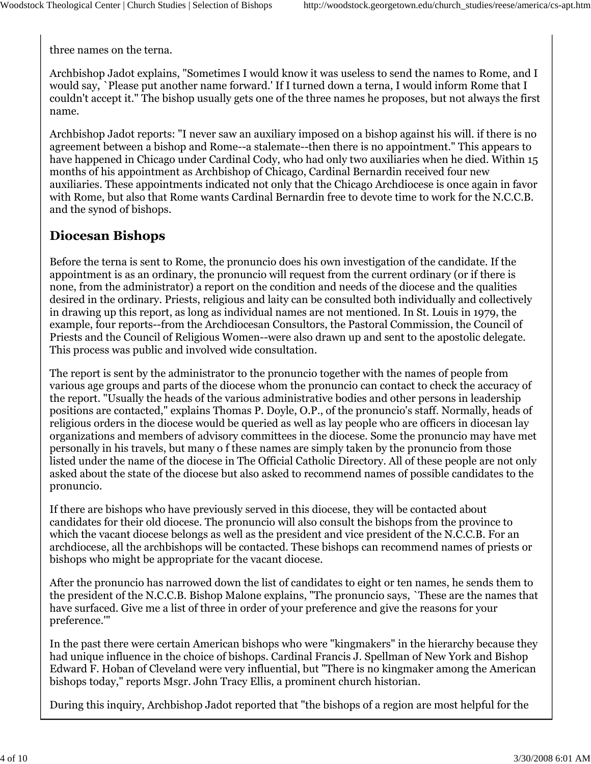three names on the terna.

Archbishop Jadot explains, "Sometimes I would know it was useless to send the names to Rome, and I would say, `Please put another name forward.' If I turned down a terna, I would inform Rome that I couldn't accept it." The bishop usually gets one of the three names he proposes, but not always the first name.

Archbishop Jadot reports: "I never saw an auxiliary imposed on a bishop against his will. if there is no agreement between a bishop and Rome--a stalemate--then there is no appointment." This appears to have happened in Chicago under Cardinal Cody, who had only two auxiliaries when he died. Within 15 months of his appointment as Archbishop of Chicago, Cardinal Bernardin received four new auxiliaries. These appointments indicated not only that the Chicago Archdiocese is once again in favor with Rome, but also that Rome wants Cardinal Bernardin free to devote time to work for the N.C.C.B. and the synod of bishops.

# **Diocesan Bishops**

Before the terna is sent to Rome, the pronuncio does his own investigation of the candidate. If the appointment is as an ordinary, the pronuncio will request from the current ordinary (or if there is none, from the administrator) a report on the condition and needs of the diocese and the qualities desired in the ordinary. Priests, religious and laity can be consulted both individually and collectively in drawing up this report, as long as individual names are not mentioned. In St. Louis in 1979, the example, four reports--from the Archdiocesan Consultors, the Pastoral Commission, the Council of Priests and the Council of Religious Women--were also drawn up and sent to the apostolic delegate. This process was public and involved wide consultation.

The report is sent by the administrator to the pronuncio together with the names of people from various age groups and parts of the diocese whom the pronuncio can contact to check the accuracy of the report. "Usually the heads of the various administrative bodies and other persons in leadership positions are contacted," explains Thomas P. Doyle, O.P., of the pronuncio's staff. Normally, heads of religious orders in the diocese would be queried as well as lay people who are officers in diocesan lay organizations and members of advisory committees in the diocese. Some the pronuncio may have met personally in his travels, but many o f these names are simply taken by the pronuncio from those listed under the name of the diocese in The Official Catholic Directory. All of these people are not only asked about the state of the diocese but also asked to recommend names of possible candidates to the pronuncio.

If there are bishops who have previously served in this diocese, they will be contacted about candidates for their old diocese. The pronuncio will also consult the bishops from the province to which the vacant diocese belongs as well as the president and vice president of the N.C.C.B. For an archdiocese, all the archbishops will be contacted. These bishops can recommend names of priests or bishops who might be appropriate for the vacant diocese.

After the pronuncio has narrowed down the list of candidates to eight or ten names, he sends them to the president of the N.C.C.B. Bishop Malone explains, "The pronuncio says, `These are the names that have surfaced. Give me a list of three in order of your preference and give the reasons for your preference.'"

In the past there were certain American bishops who were "kingmakers" in the hierarchy because they had unique influence in the choice of bishops. Cardinal Francis J. Spellman of New York and Bishop Edward F. Hoban of Cleveland were very influential, but "There is no kingmaker among the American bishops today," reports Msgr. John Tracy Ellis, a prominent church historian.

During this inquiry, Archbishop Jadot reported that "the bishops of a region are most helpful for the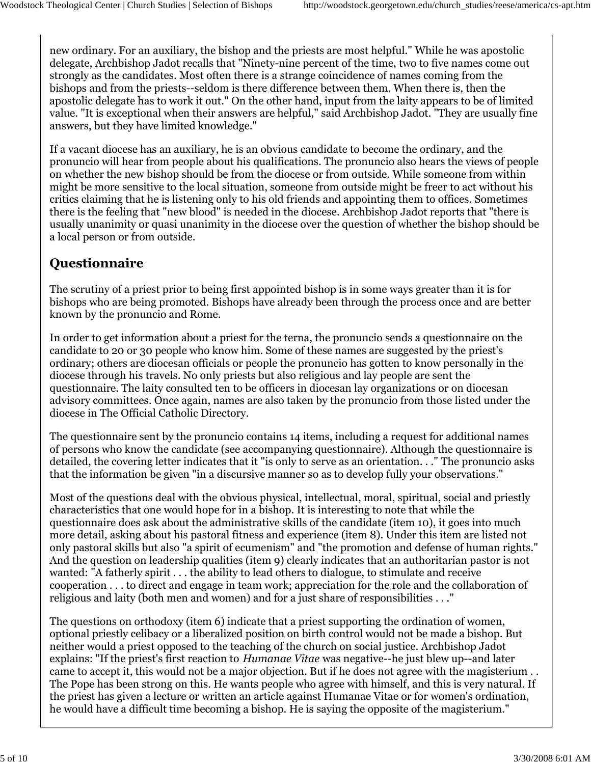new ordinary. For an auxiliary, the bishop and the priests are most helpful." While he was apostolic delegate, Archbishop Jadot recalls that "Ninety-nine percent of the time, two to five names come out strongly as the candidates. Most often there is a strange coincidence of names coming from the bishops and from the priests--seldom is there difference between them. When there is, then the apostolic delegate has to work it out." On the other hand, input from the laity appears to be of limited value. "It is exceptional when their answers are helpful," said Archbishop Jadot. "They are usually fine answers, but they have limited knowledge."

If a vacant diocese has an auxiliary, he is an obvious candidate to become the ordinary, and the pronuncio will hear from people about his qualifications. The pronuncio also hears the views of people on whether the new bishop should be from the diocese or from outside. While someone from within might be more sensitive to the local situation, someone from outside might be freer to act without his critics claiming that he is listening only to his old friends and appointing them to offices. Sometimes there is the feeling that "new blood" is needed in the diocese. Archbishop Jadot reports that "there is usually unanimity or quasi unanimity in the diocese over the question of whether the bishop should be a local person or from outside.

# **Questionnaire**

The scrutiny of a priest prior to being first appointed bishop is in some ways greater than it is for bishops who are being promoted. Bishops have already been through the process once and are better known by the pronuncio and Rome.

In order to get information about a priest for the terna, the pronuncio sends a questionnaire on the candidate to 20 or 30 people who know him. Some of these names are suggested by the priest's ordinary; others are diocesan officials or people the pronuncio has gotten to know personally in the diocese through his travels. No only priests but also religious and lay people are sent the questionnaire. The laity consulted ten to be officers in diocesan lay organizations or on diocesan advisory committees. Once again, names are also taken by the pronuncio from those listed under the diocese in The Official Catholic Directory.

The questionnaire sent by the pronuncio contains 14 items, including a request for additional names of persons who know the candidate (see accompanying questionnaire). Although the questionnaire is detailed, the covering letter indicates that it "is only to serve as an orientation. . ." The pronuncio asks that the information be given "in a discursive manner so as to develop fully your observations."

Most of the questions deal with the obvious physical, intellectual, moral, spiritual, social and priestly characteristics that one would hope for in a bishop. It is interesting to note that while the questionnaire does ask about the administrative skills of the candidate (item 10), it goes into much more detail, asking about his pastoral fitness and experience (item 8). Under this item are listed not only pastoral skills but also "a spirit of ecumenism" and "the promotion and defense of human rights." And the question on leadership qualities (item 9) clearly indicates that an authoritarian pastor is not wanted: "A fatherly spirit . . . the ability to lead others to dialogue, to stimulate and receive cooperation . . . to direct and engage in team work; appreciation for the role and the collaboration of religious and laity (both men and women) and for a just share of responsibilities . . ."

The questions on orthodoxy (item 6) indicate that a priest supporting the ordination of women, optional priestly celibacy or a liberalized position on birth control would not be made a bishop. But neither would a priest opposed to the teaching of the church on social justice. Archbishop Jadot explains: "If the priest's first reaction to *Humanae Vitae* was negative--he just blew up--and later came to accept it, this would not be a major objection. But if he does not agree with the magisterium . . The Pope has been strong on this. He wants people who agree with himself, and this is very natural. If the priest has given a lecture or written an article against Humanae Vitae or for women's ordination, he would have a difficult time becoming a bishop. He is saying the opposite of the magisterium."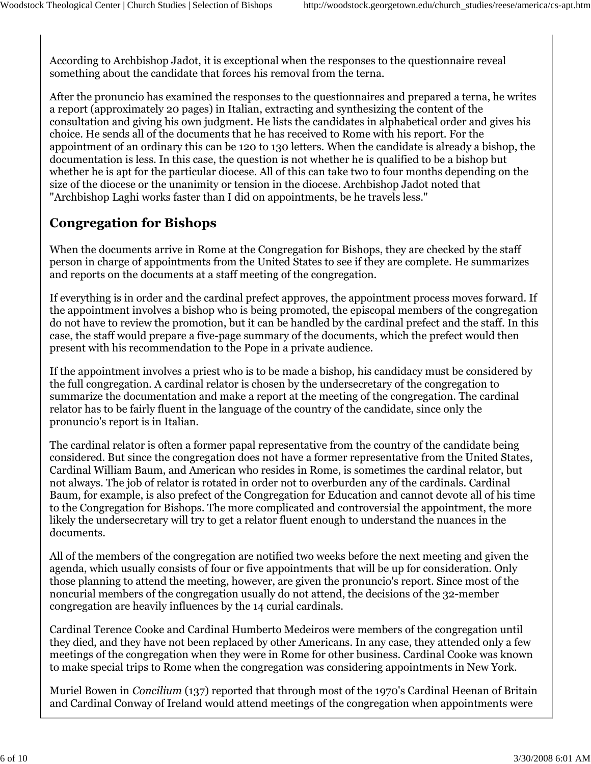According to Archbishop Jadot, it is exceptional when the responses to the questionnaire reveal something about the candidate that forces his removal from the terna.

After the pronuncio has examined the responses to the questionnaires and prepared a terna, he writes a report (approximately 20 pages) in Italian, extracting and synthesizing the content of the consultation and giving his own judgment. He lists the candidates in alphabetical order and gives his choice. He sends all of the documents that he has received to Rome with his report. For the appointment of an ordinary this can be 120 to 130 letters. When the candidate is already a bishop, the documentation is less. In this case, the question is not whether he is qualified to be a bishop but whether he is apt for the particular diocese. All of this can take two to four months depending on the size of the diocese or the unanimity or tension in the diocese. Archbishop Jadot noted that "Archbishop Laghi works faster than I did on appointments, be he travels less."

# **Congregation for Bishops**

When the documents arrive in Rome at the Congregation for Bishops, they are checked by the staff person in charge of appointments from the United States to see if they are complete. He summarizes and reports on the documents at a staff meeting of the congregation.

If everything is in order and the cardinal prefect approves, the appointment process moves forward. If the appointment involves a bishop who is being promoted, the episcopal members of the congregation do not have to review the promotion, but it can be handled by the cardinal prefect and the staff. In this case, the staff would prepare a five-page summary of the documents, which the prefect would then present with his recommendation to the Pope in a private audience.

If the appointment involves a priest who is to be made a bishop, his candidacy must be considered by the full congregation. A cardinal relator is chosen by the undersecretary of the congregation to summarize the documentation and make a report at the meeting of the congregation. The cardinal relator has to be fairly fluent in the language of the country of the candidate, since only the pronuncio's report is in Italian.

The cardinal relator is often a former papal representative from the country of the candidate being considered. But since the congregation does not have a former representative from the United States, Cardinal William Baum, and American who resides in Rome, is sometimes the cardinal relator, but not always. The job of relator is rotated in order not to overburden any of the cardinals. Cardinal Baum, for example, is also prefect of the Congregation for Education and cannot devote all of his time to the Congregation for Bishops. The more complicated and controversial the appointment, the more likely the undersecretary will try to get a relator fluent enough to understand the nuances in the documents.

All of the members of the congregation are notified two weeks before the next meeting and given the agenda, which usually consists of four or five appointments that will be up for consideration. Only those planning to attend the meeting, however, are given the pronuncio's report. Since most of the noncurial members of the congregation usually do not attend, the decisions of the 32-member congregation are heavily influences by the 14 curial cardinals.

Cardinal Terence Cooke and Cardinal Humberto Medeiros were members of the congregation until they died, and they have not been replaced by other Americans. In any case, they attended only a few meetings of the congregation when they were in Rome for other business. Cardinal Cooke was known to make special trips to Rome when the congregation was considering appointments in New York.

Muriel Bowen in *Concilium* (137) reported that through most of the 1970's Cardinal Heenan of Britain and Cardinal Conway of Ireland would attend meetings of the congregation when appointments were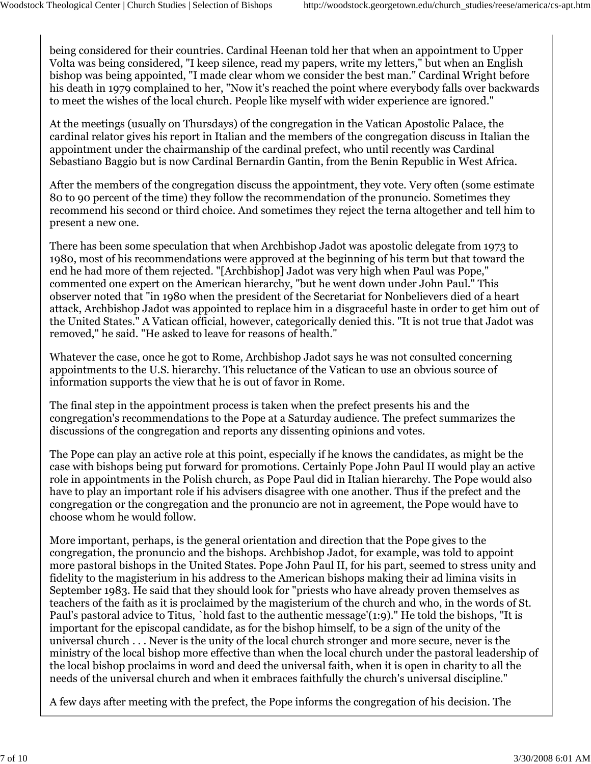being considered for their countries. Cardinal Heenan told her that when an appointment to Upper Volta was being considered, "I keep silence, read my papers, write my letters," but when an English bishop was being appointed, "I made clear whom we consider the best man." Cardinal Wright before his death in 1979 complained to her, "Now it's reached the point where everybody falls over backwards to meet the wishes of the local church. People like myself with wider experience are ignored."

At the meetings (usually on Thursdays) of the congregation in the Vatican Apostolic Palace, the cardinal relator gives his report in Italian and the members of the congregation discuss in Italian the appointment under the chairmanship of the cardinal prefect, who until recently was Cardinal Sebastiano Baggio but is now Cardinal Bernardin Gantin, from the Benin Republic in West Africa.

After the members of the congregation discuss the appointment, they vote. Very often (some estimate 80 to 90 percent of the time) they follow the recommendation of the pronuncio. Sometimes they recommend his second or third choice. And sometimes they reject the terna altogether and tell him to present a new one.

There has been some speculation that when Archbishop Jadot was apostolic delegate from 1973 to 1980, most of his recommendations were approved at the beginning of his term but that toward the end he had more of them rejected. "[Archbishop] Jadot was very high when Paul was Pope," commented one expert on the American hierarchy, "but he went down under John Paul." This observer noted that "in 1980 when the president of the Secretariat for Nonbelievers died of a heart attack, Archbishop Jadot was appointed to replace him in a disgraceful haste in order to get him out of the United States." A Vatican official, however, categorically denied this. "It is not true that Jadot was removed," he said. "He asked to leave for reasons of health."

Whatever the case, once he got to Rome, Archbishop Jadot says he was not consulted concerning appointments to the U.S. hierarchy. This reluctance of the Vatican to use an obvious source of information supports the view that he is out of favor in Rome.

The final step in the appointment process is taken when the prefect presents his and the congregation's recommendations to the Pope at a Saturday audience. The prefect summarizes the discussions of the congregation and reports any dissenting opinions and votes.

The Pope can play an active role at this point, especially if he knows the candidates, as might be the case with bishops being put forward for promotions. Certainly Pope John Paul II would play an active role in appointments in the Polish church, as Pope Paul did in Italian hierarchy. The Pope would also have to play an important role if his advisers disagree with one another. Thus if the prefect and the congregation or the congregation and the pronuncio are not in agreement, the Pope would have to choose whom he would follow.

More important, perhaps, is the general orientation and direction that the Pope gives to the congregation, the pronuncio and the bishops. Archbishop Jadot, for example, was told to appoint more pastoral bishops in the United States. Pope John Paul II, for his part, seemed to stress unity and fidelity to the magisterium in his address to the American bishops making their ad limina visits in September 1983. He said that they should look for "priests who have already proven themselves as teachers of the faith as it is proclaimed by the magisterium of the church and who, in the words of St. Paul's pastoral advice to Titus, `hold fast to the authentic message'(1:9)." He told the bishops, "It is important for the episcopal candidate, as for the bishop himself, to be a sign of the unity of the universal church . . . Never is the unity of the local church stronger and more secure, never is the ministry of the local bishop more effective than when the local church under the pastoral leadership of the local bishop proclaims in word and deed the universal faith, when it is open in charity to all the needs of the universal church and when it embraces faithfully the church's universal discipline."

A few days after meeting with the prefect, the Pope informs the congregation of his decision. The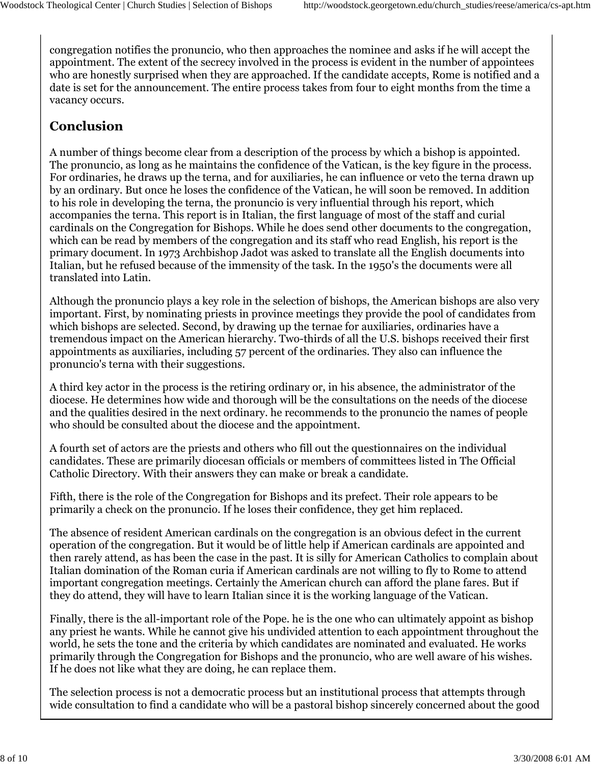congregation notifies the pronuncio, who then approaches the nominee and asks if he will accept the appointment. The extent of the secrecy involved in the process is evident in the number of appointees who are honestly surprised when they are approached. If the candidate accepts, Rome is notified and a date is set for the announcement. The entire process takes from four to eight months from the time a vacancy occurs.

### **Conclusion**

A number of things become clear from a description of the process by which a bishop is appointed. The pronuncio, as long as he maintains the confidence of the Vatican, is the key figure in the process. For ordinaries, he draws up the terna, and for auxiliaries, he can influence or veto the terna drawn up by an ordinary. But once he loses the confidence of the Vatican, he will soon be removed. In addition to his role in developing the terna, the pronuncio is very influential through his report, which accompanies the terna. This report is in Italian, the first language of most of the staff and curial cardinals on the Congregation for Bishops. While he does send other documents to the congregation, which can be read by members of the congregation and its staff who read English, his report is the primary document. In 1973 Archbishop Jadot was asked to translate all the English documents into Italian, but he refused because of the immensity of the task. In the 1950's the documents were all translated into Latin.

Although the pronuncio plays a key role in the selection of bishops, the American bishops are also very important. First, by nominating priests in province meetings they provide the pool of candidates from which bishops are selected. Second, by drawing up the ternae for auxiliaries, ordinaries have a tremendous impact on the American hierarchy. Two-thirds of all the U.S. bishops received their first appointments as auxiliaries, including 57 percent of the ordinaries. They also can influence the pronuncio's terna with their suggestions.

A third key actor in the process is the retiring ordinary or, in his absence, the administrator of the diocese. He determines how wide and thorough will be the consultations on the needs of the diocese and the qualities desired in the next ordinary. he recommends to the pronuncio the names of people who should be consulted about the diocese and the appointment.

A fourth set of actors are the priests and others who fill out the questionnaires on the individual candidates. These are primarily diocesan officials or members of committees listed in The Official Catholic Directory. With their answers they can make or break a candidate.

Fifth, there is the role of the Congregation for Bishops and its prefect. Their role appears to be primarily a check on the pronuncio. If he loses their confidence, they get him replaced.

The absence of resident American cardinals on the congregation is an obvious defect in the current operation of the congregation. But it would be of little help if American cardinals are appointed and then rarely attend, as has been the case in the past. It is silly for American Catholics to complain about Italian domination of the Roman curia if American cardinals are not willing to fly to Rome to attend important congregation meetings. Certainly the American church can afford the plane fares. But if they do attend, they will have to learn Italian since it is the working language of the Vatican.

Finally, there is the all-important role of the Pope. he is the one who can ultimately appoint as bishop any priest he wants. While he cannot give his undivided attention to each appointment throughout the world, he sets the tone and the criteria by which candidates are nominated and evaluated. He works primarily through the Congregation for Bishops and the pronuncio, who are well aware of his wishes. If he does not like what they are doing, he can replace them.

The selection process is not a democratic process but an institutional process that attempts through wide consultation to find a candidate who will be a pastoral bishop sincerely concerned about the good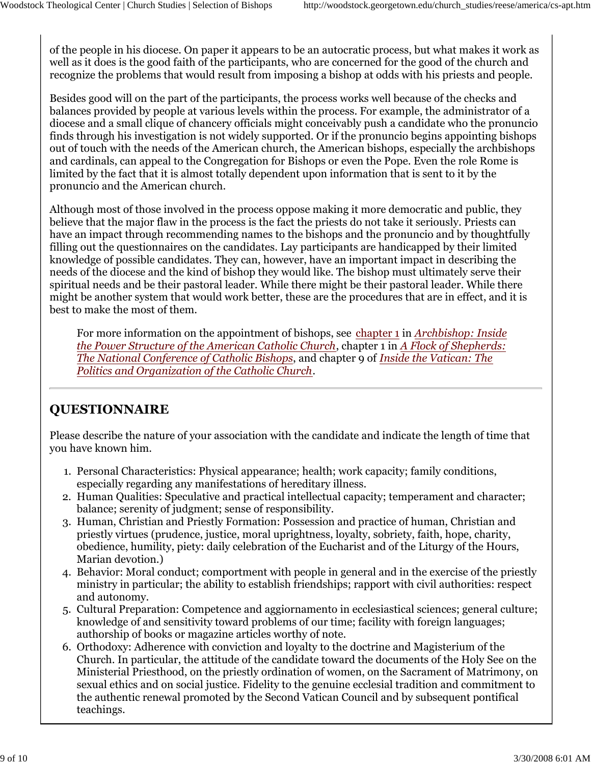of the people in his diocese. On paper it appears to be an autocratic process, but what makes it work as well as it does is the good faith of the participants, who are concerned for the good of the church and recognize the problems that would result from imposing a bishop at odds with his priests and people.

Besides good will on the part of the participants, the process works well because of the checks and balances provided by people at various levels within the process. For example, the administrator of a diocese and a small clique of chancery officials might conceivably push a candidate who the pronuncio finds through his investigation is not widely supported. Or if the pronuncio begins appointing bishops out of touch with the needs of the American church, the American bishops, especially the archbishops and cardinals, can appeal to the Congregation for Bishops or even the Pope. Even the role Rome is limited by the fact that it is almost totally dependent upon information that is sent to it by the pronuncio and the American church.

Although most of those involved in the process oppose making it more democratic and public, they believe that the major flaw in the process is the fact the priests do not take it seriously. Priests can have an impact through recommending names to the bishops and the pronuncio and by thoughtfully filling out the questionnaires on the candidates. Lay participants are handicapped by their limited knowledge of possible candidates. They can, however, have an important impact in describing the needs of the diocese and the kind of bishop they would like. The bishop must ultimately serve their spiritual needs and be their pastoral leader. While there might be their pastoral leader. While there might be another system that would work better, these are the procedures that are in effect, and it is best to make the most of them.

For more information on the appointment of bishops, see chapter 1 in *Archbishop: Inside the Power Structure of the American Catholic Church*, chapter 1 in *A Flock of Shepherds: The National Conference of Catholic Bishops*, and chapter 9 of *Inside the Vatican: The Politics and Organization of the Catholic Church.*

# **QUESTIONNAIRE**

Please describe the nature of your association with the candidate and indicate the length of time that you have known him.

- 1. Personal Characteristics: Physical appearance; health; work capacity; family conditions, especially regarding any manifestations of hereditary illness.
- Human Qualities: Speculative and practical intellectual capacity; temperament and character; 2. balance; serenity of judgment; sense of responsibility.
- 3. Human, Christian and Priestly Formation: Possession and practice of human, Christian and priestly virtues (prudence, justice, moral uprightness, loyalty, sobriety, faith, hope, charity, obedience, humility, piety: daily celebration of the Eucharist and of the Liturgy of the Hours, Marian devotion.)
- 4. Behavior: Moral conduct; comportment with people in general and in the exercise of the priestly ministry in particular; the ability to establish friendships; rapport with civil authorities: respect and autonomy.
- 5. Cultural Preparation: Competence and aggiornamento in ecclesiastical sciences; general culture; knowledge of and sensitivity toward problems of our time; facility with foreign languages; authorship of books or magazine articles worthy of note.
- 6. Orthodoxy: Adherence with conviction and loyalty to the doctrine and Magisterium of the Church. In particular, the attitude of the candidate toward the documents of the Holy See on the Ministerial Priesthood, on the priestly ordination of women, on the Sacrament of Matrimony, on sexual ethics and on social justice. Fidelity to the genuine ecclesial tradition and commitment to the authentic renewal promoted by the Second Vatican Council and by subsequent pontifical teachings.